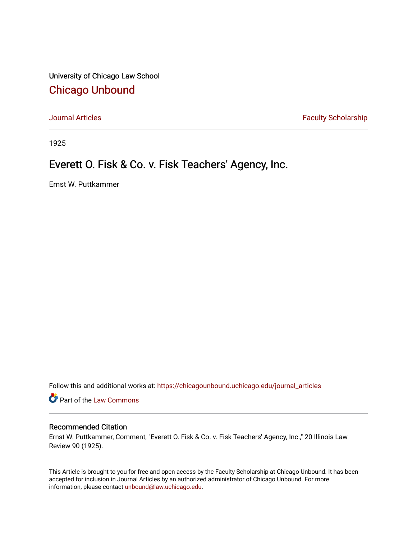University of Chicago Law School [Chicago Unbound](https://chicagounbound.uchicago.edu/)

[Journal Articles](https://chicagounbound.uchicago.edu/journal_articles) **Faculty Scholarship Faculty Scholarship** 

1925

## Everett O. Fisk & Co. v. Fisk Teachers' Agency, Inc.

Ernst W. Puttkammer

Follow this and additional works at: [https://chicagounbound.uchicago.edu/journal\\_articles](https://chicagounbound.uchicago.edu/journal_articles?utm_source=chicagounbound.uchicago.edu%2Fjournal_articles%2F9103&utm_medium=PDF&utm_campaign=PDFCoverPages) 

**C** Part of the [Law Commons](http://network.bepress.com/hgg/discipline/578?utm_source=chicagounbound.uchicago.edu%2Fjournal_articles%2F9103&utm_medium=PDF&utm_campaign=PDFCoverPages)

## Recommended Citation

Ernst W. Puttkammer, Comment, "Everett O. Fisk & Co. v. Fisk Teachers' Agency, Inc.," 20 Illinois Law Review 90 (1925).

This Article is brought to you for free and open access by the Faculty Scholarship at Chicago Unbound. It has been accepted for inclusion in Journal Articles by an authorized administrator of Chicago Unbound. For more information, please contact [unbound@law.uchicago.edu](mailto:unbound@law.uchicago.edu).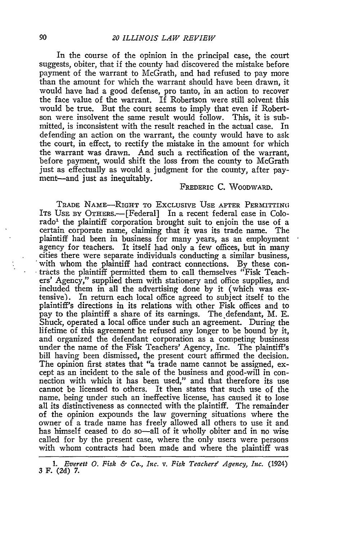In the course of the opinion in the principal case, the court suggests, obiter, that if the county had discovered the mistake before payment of the warrant to McGrath, and had refused to pay more than the amount for which the warrant should have been drawn, it would have had a good defense, pro tanto, in an action to recover the face value of the warrant. If Robertson were still solvent this would be true. But the court seems to imply that even if Robertson were insolvent the same result would follow. This, it is submitted, is inconsistent with the result reached in the actual case. In defending an action on the warrant, the county would have to ask the court, in effect, to rectify the mistake in the amount for which the warrant was drawn. And such a rectification of the warrant, before payment, would shift the loss from the county to McGrath just as effectually as would a judgment for the county, after payment-and just as inequitably.

## FREDERIC C. WOODWARD.

TRADE NAME-RIGHT TO EXCLUSIVE USE AFTER PERMITTING ITS **USE** BY OTHERS.- [Federal] In a recent federal case in Colorado' the plaintiff corporation brought suit to enjoin the use of a certain corporate name, claiming that it was its trade name. The plaintiff had been in business for many years, as an employment agency for teachers. It itself had only a few offices, but in many cities there were separate individuals conducting a similar business, with whom the plaintiff had contract connections. By these contracts the plaintiff permitted them to call themselves "Fisk Teachers' Agency," supplied them with stationery and office supplies, and included them in all the advertising done by it (which was extensive). In return each local office agreed to subject itself to the plaintiff's directions in its relations with other Fisk offices and to pay to the plaintiff a share of its earnings. The defendant, M. E. Shuck, operated a local office under such an agreement. During the lifetime of this agreement he refused any longer to be bound by it, and organized the defendant corporation as a competing business under the name of the Fisk Teachers' Agency, Inc. The plaintiff's bill having been dismissed, the present court affirmed the decision. The opinion first states that "a trade name cannot be assigned, except as an incident to the sale of the business and good-will in connection with which it has been used," and that therefore its use cannot be licensed to others. It then states that such use of the name, being under such an ineffective license, has caused it to lose all its distinctiveness as connected with the plaintiff. The remainder of the opinion expounds the law governing situations where the owner of a trade name has freely allowed all others to use it and has himself ceased to do so-all of it wholly obiter and in no wise called for by the present case, where the only users were persons with whom contracts had been made and where the plaintiff was

*<sup>1.</sup> Everett 0. Fisk & Co., Inc. v. Fisk Teachers? Agency, Inc.* (1924) 3 F. (2d) 7.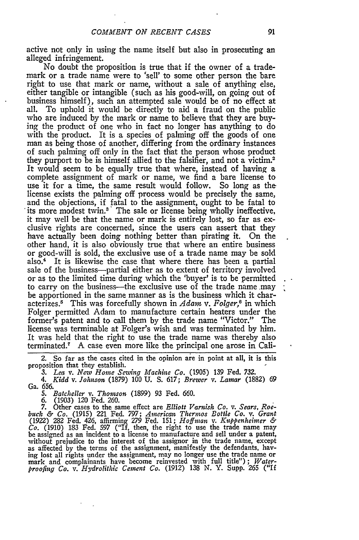active not only in using the name itself but also in prosecuting an alleged infringement.

No doubt the proposition is true that if the owner of a trademark or a trade name were to 'sell' to some other person the bare right to use that mark or name, without a sale of anything else, either tangible or intangible (such as his good-will, on going out of business himself), such an attempted sale would be of no effect at all. To uphold it would be directly to aid a fraud on the public who are induced by the mark or name to believe that they are buying the product of one who in fact no longer has anything to do with the product. It is a species of palming off the goods of one man as being those of another, differing from the ordinary instances of such palming off only in the fact that the person whose product they purport to be is himself allied to the falsifier, and not a victim.<sup>2</sup> It would seem to be equally true that where, instead of having a complete assignment of mark or name, we find a bare license to use it for a time, the same result would follow. So long as the license exists the palming off process would be precisely the same, and the objections, if fatal to the assignment, ought to be fatal to its more modest twin.<sup>3</sup> The sale or license being wholly ineffective, it may well be that the name or mark is entirely lost, so far as exclusive rights are concerned, since the users can assert that they have actually been doing nothing better than pirating it. On the other hand, it is also obviously true that where an entire business or good-will is sold, the exclusive use of a trade name may be sold also.4 It is likewise the case that where there has been a partial sale of the business-partial either as to extent of territory involved or as to the limited time during which the 'buyer' is to be permitted to carry on the business-the exclusive use of the trade name may be apportioned in the same manner as is the business which it characterizes.<sup>5</sup> This was forcefully shown in *Adam v. Folger*,<sup>6</sup> in which Folger permitted Adam to manufacture certain heaters under the former's patent and to call them by the trade name "Victor." The license was terminable at Folger's wish and was terminated by him. It was held that the right to use the trade name was thereby also terminated.7 A case even more like the principal one arose in Cali-

2. So far as the cases cited in the opinion are in point at all, it is this proposition that they establish.

*3. Lea* v. *New Home Sewing Machine Co.* (1905) 139 Fed. 732.

*4. Kidd v. Johnson* (1879) **100 U5.** S. 617; *Brewer v. Lamar* (1882) 69 Ga. *656.*

*5. Batcheller v. Thomson* (1899) 93 Fed. 660.

6. (1903) 120 Fed. 260.

7. Other cases to the same effect are Elliott Varnish Co. v. Sears, Roe-<br>buck & Co. (1915) 221 Fed. 797; American Thermos Bottle Co. v. Grant<br>(1922) 282 Fed. 426, affirming 279 Fed. 151; Hoffman v. Kuppenheimer & *Co.* (1910) 183 Fed. 597 ("If, then, the right to use the trade name may be assigned as an incident to a license to manufacture and sell under a patent, without prejudice to the interest of the assignor in the trade name, except as affected by the terms of the assignment, manifestly the defendants, having lost all rights under the assignment, may no longer use the trade name or mark and complainants have become reinvested with full title"); *Waterproofing Co. v. Hydrolithic Cement Co.* (1912) 138 **N.** Y. Supp. **265** ("If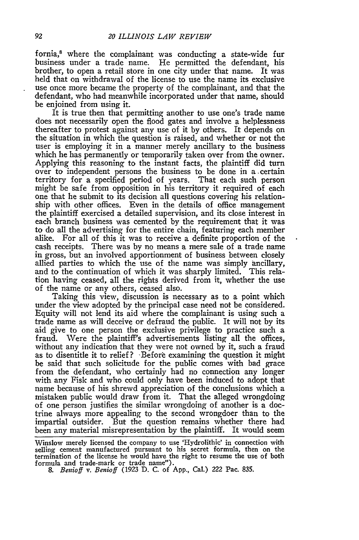fornia,<sup>8</sup> where the complainant was conducting a state-wide fur business under a trade name. He permitted the defendant, his brother, to open a retail store in one city under that name. It was held that on withdrawal of the license to use the name its exclusive use once more became the property of the complainant, and that the defendant, who had meanwhile incorporated under that name, should be enjoined from using it.

It is true then that permitting another to use one's trade name does not necessarily open the flood gates and involve a helplessness thereafter to protest against any use of it by others. It depends on the situation in which the question is raised, and whether or not the user is employing it in a manner merely ancillary to the business which he has permanently or temporarily taken over from the owner. Applying this reasoning to the instant facts, the plaintiff did turn over to independent persons the business to be done in a certain territory for a specified period of years. That each such person might be safe from opposition in his territory it required of each one that he submit to its decision all questions covering his relationship with other offices. Even in the details of office management the plaintiff exercised a detailed supervision, and its close interest in each branch business was cemented by the requirement that it was to do all the advertising for the entire chain, featuring each member alike. For all of this it was to receive a definite proportion of the cash receipts. There was by no means a mere sale of a trade name in gross, but an involved apportionment of business between closely allied parties to which the use of the name was simply ancillary, and to the continuation of which it was sharply limited. This relation having ceased, all the rights derived from it, whether the use of the name or any others, ceased also.

Taking this view, discussion is necessary as to a point which under the view adopted **by** the principal case need not be considered. Equity will not lend its aid where the complainant is using such a trade name as will deceive or defraud the public. It will not **by** its aid give to one person the exclusive privilege to practice such a fraud. Were the plaintiff's advertisements listing all the offices, without any indication that they were not owned **by** it, such a fraud as to disentitle it to relief ? -Before examining the question it might be said that such solicitude for the public comes with bad grace from the defendant, who certainly had no connection any longer with any Fisk and who could only have been induced to adopt that name because of his shrewd appreciation of the conclusions which a mistaken public would draw from it. That the alleged wrongdoing of one person justifies the similar wrongdoing of another is a doctrine always more appealing to the second wrongdoer than to the impartial outsider. But the question remains whether there had been any material misrepresentation **by** the plaintiff. It would seem

Winslow merely licensed the company to use 'Hydrolithic' in connection with selling cement manufactured pursuant to his secret formula, then on the termination of the license he would have the right to resume the use of bo

*<sup>8.</sup> Benioff v. Benioff* (1923 D. C. of App., Cal.) *222* Pac. **835.**